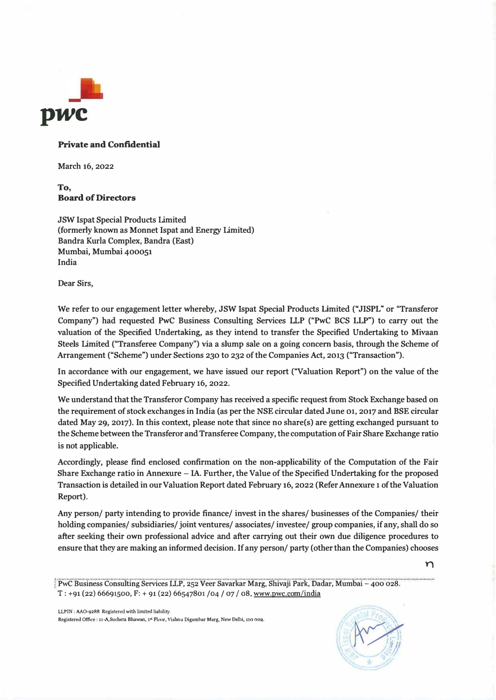

### **Private and Confidential**

**March 16, 2022** 

## **To, Board of Directors**

**JSW Ispat Special Products Limited (formerly known as Monnet Ispat and Energy Limited) Bandra Kurla Complex, Bandra (East) Mumbai, Mumbai 400051 India** 

**Dear Sirs,** 

**We refer to our engagement letter whereby, JSW lspat Special Products Limited ("JISPL" or "Transferor Company") had requested PwC Business Consulting Services LLP ("PwC BCS LLP") to carry out the valuation of the Specified Undertaking, as they intend to transfer the Specified Undertaking to Mivaan Steels Limited ("Transferee Company") via a slump sale on a going concern basis, through the Scheme of Arrangement ("Scheme") under Sections 230 to 232 of the Companies Act, 2013 ("Transaction").** 

**In accordance with our engagement, we have issued our report ("Valuation Report") on the value of the Specified Undertaking dated February 16, 2022.** 

**We understand that the Transferor Company has received a specific request from Stock Exchange based on the requirement of stock exchanges in India (as per the NSE circular dated June 01, 2017 and BSE circular dated May 29, 2017). In this context, please note that since no share(s) are getting exchanged pursuant to the Scheme between the Transferor and Transferee Company, the computation of Fair Share Exchange ratio is not applicable.** 

**Accordingly, please find enclosed confirmation on the non-applicability of the Computation of the Fair Share Exchange ratio in Annexure - IA. Further, the Value of the Specified Undertaking for the proposed Transaction is detailed in our Valuation Report dated February 16, 2022 (Refer Annexure 1 of the Valuation Report).** 

**Any person/ party intending to provide finance/ invest in the shares/ businesses of the Companies/ their holding companies/ subsidiaries/ joint ventures/ associates/ investee/ group companies, if any, shall do so after seeking their own professional advice and after carrying out their own due diligence procedures to ensure that they are making an informed decision. If any person/ party ( other than the Companies) chooses** 

LLPIN: AA0-9288 Registered with limited liahility. Registered Office : 11-A,Sucheta Bhawan, 1<sup>st</sup> Floor, Vishnu Digambar Marg, New Delhi, 110 002.



 $\mathsf{m}$ 

I **PwC Business Consulting Services LLP, 252 Veer Savarkar Marg, Shivaji Park, Dadar, Mumbai - 400 028. T: +91 (22) 66691500, F: + 91 (22) 66547801 /04 / 07 / 08, www.pwc.com/india**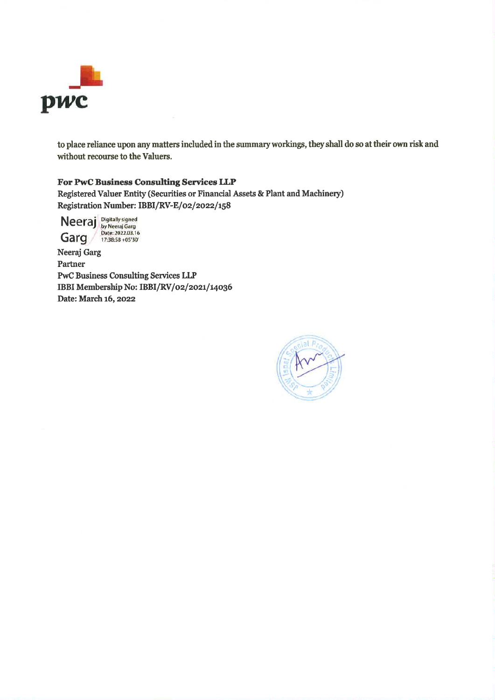

to place reliance upon any matters included in the summary workings, they shall do so at their own risk and without recourse to the Valuers.

### For PwC Business Consulting Services LLP

Registered Valuer Entity (Securities or Financial Assets & Plant and Machinery) Registration Number: IBBI/RV-E/02/2022/158

Neeraj Digitally signed<br>
by Neeraj Garg<br>
Date: 2022.03.16<br>
17:38:58 +05'30'

Neeraj Garg Partner **PwC Business Consulting Services LLP** IBBI Membership No: IBBI/RV/02/2021/14036 Date: March 16, 2022